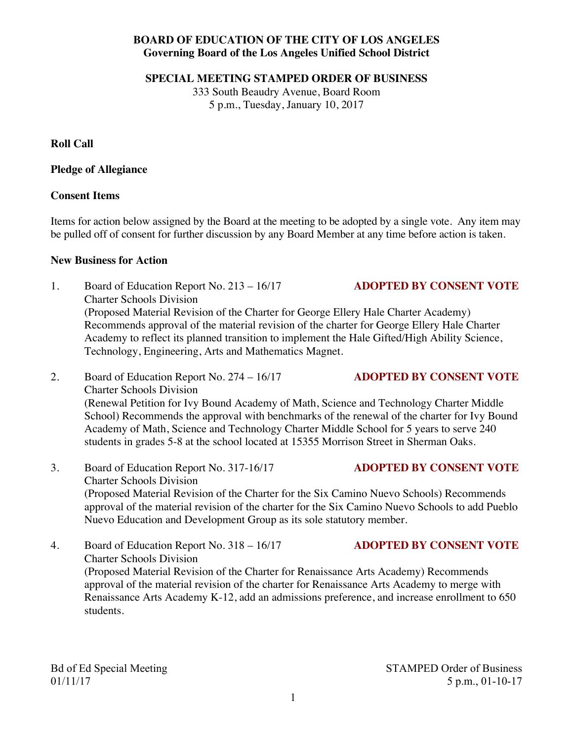# **BOARD OF EDUCATION OF THE CITY OF LOS ANGELES Governing Board of the Los Angeles Unified School District**

### **SPECIAL MEETING STAMPED ORDER OF BUSINESS**

333 South Beaudry Avenue, Board Room 5 p.m., Tuesday, January 10, 2017

## **Roll Call**

### **Pledge of Allegiance**

## **Consent Items**

Items for action below assigned by the Board at the meeting to be adopted by a single vote. Any item may be pulled off of consent for further discussion by any Board Member at any time before action is taken.

### **New Business for Action**

- 1. Board of Education Report No. 213 16/17 **ADOPTED BY CONSENT VOTE** Charter Schools Division (Proposed Material Revision of the Charter for George Ellery Hale Charter Academy) Recommends approval of the material revision of the charter for George Ellery Hale Charter Academy to reflect its planned transition to implement the Hale Gifted/High Ability Science, Technology, Engineering, Arts and Mathematics Magnet.
- 2. Board of Education Report No. 274 16/17 **ADOPTED BY CONSENT VOTE** Charter Schools Division (Renewal Petition for Ivy Bound Academy of Math, Science and Technology Charter Middle School) Recommends the approval with benchmarks of the renewal of the charter for Ivy Bound Academy of Math, Science and Technology Charter Middle School for 5 years to serve 240 students in grades 5-8 at the school located at 15355 Morrison Street in Sherman Oaks.
- 3. Board of Education Report No. 317-16/17 **ADOPTED BY CONSENT VOTE** Charter Schools Division (Proposed Material Revision of the Charter for the Six Camino Nuevo Schools) Recommends approval of the material revision of the charter for the Six Camino Nuevo Schools to add Pueblo Nuevo Education and Development Group as its sole statutory member.
- 4. Board of Education Report No. 318 16/17 **ADOPTED BY CONSENT VOTE** Charter Schools Division (Proposed Material Revision of the Charter for Renaissance Arts Academy) Recommends approval of the material revision of the charter for Renaissance Arts Academy to merge with Renaissance Arts Academy K-12, add an admissions preference, and increase enrollment to 650 students.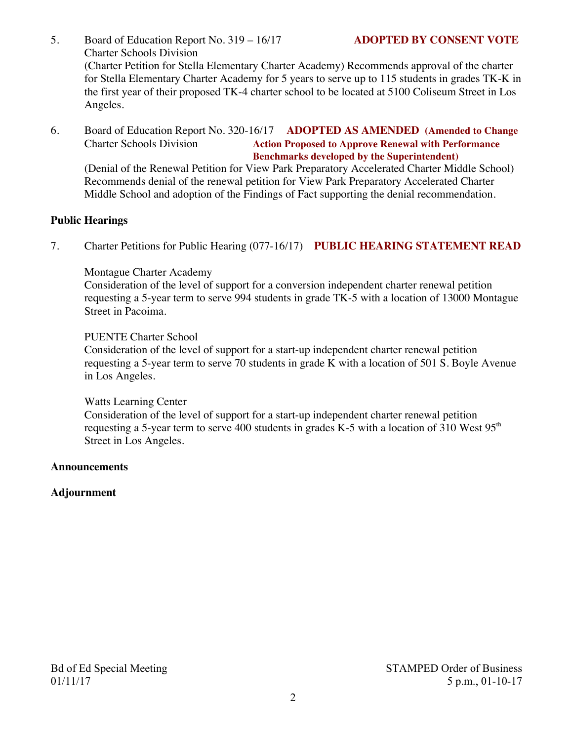- 5. Board of Education Report No. 319 16/17 **ADOPTED BY CONSENT VOTE** Charter Schools Division (Charter Petition for Stella Elementary Charter Academy) Recommends approval of the charter for Stella Elementary Charter Academy for 5 years to serve up to 115 students in grades TK-K in the first year of their proposed TK-4 charter school to be located at 5100 Coliseum Street in Los Angeles.
- 6. Board of Education Report No. 320-16/17 **ADOPTED AS AMENDED (Amended to Change** Charter Schools Division **Action Proposed to Approve Renewal with Performance Benchmarks developed by the Superintendent)**

(Denial of the Renewal Petition for View Park Preparatory Accelerated Charter Middle School) Recommends denial of the renewal petition for View Park Preparatory Accelerated Charter Middle School and adoption of the Findings of Fact supporting the denial recommendation.

## **Public Hearings**

7. Charter Petitions for Public Hearing (077-16/17) **PUBLIC HEARING STATEMENT READ**

## Montague Charter Academy

Consideration of the level of support for a conversion independent charter renewal petition requesting a 5-year term to serve 994 students in grade TK-5 with a location of 13000 Montague Street in Pacoima.

## PUENTE Charter School

Consideration of the level of support for a start-up independent charter renewal petition requesting a 5-year term to serve 70 students in grade K with a location of 501 S. Boyle Avenue in Los Angeles.

### Watts Learning Center

Consideration of the level of support for a start-up independent charter renewal petition requesting a 5-year term to serve 400 students in grades K-5 with a location of 310 West  $95<sup>th</sup>$ Street in Los Angeles.

### **Announcements**

# **Adjournment**